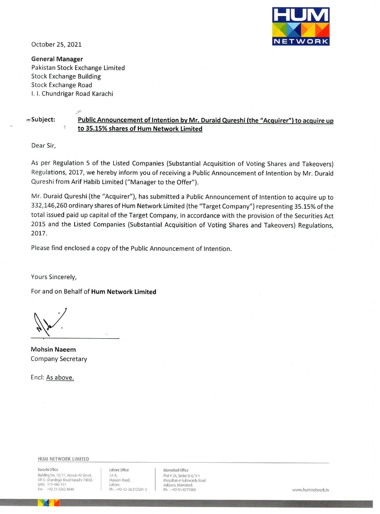

October 25, 2021

**General Manager** Pakistan Stock Exchange Limited **Stock Exchange Building Stock Exchange Road** I. I. Chundrigar Road Karachi

#### =Subject:

## Public Announcement of Intention by Mr. Duraid Qureshi (the "Acquirer") to acquire up to 35.15% shares of Hum Network Limited

Dear Sir,

As per Regulation 5 of the Listed Companies (Substantial Acquisition of Voting Shares and Takeovers) Regulations, 2017, we hereby inform you of receiving a Public Announcement of Intention by Mr. Duraid Qureshi from Arif Habib Limited ("Manager to the Offer").

Mr. Duraid Qureshi (the "Acquirer"), has submitted a Public Announcement of Intention to acquire up to 332,146,260 ordinary shares of Hum Network Limited (the "Target Company") representing 35.15% of the total issued paid up capital of the Target Company, in accordance with the provision of the Securities Act 2015 and the Listed Companies (Substantial Acquisition of Voting Shares and Takeovers) Regulations, 2017.

Please find enclosed a copy of the Public Announcement of Intention.

Yours Sincerely,

For and on Behalf of Hum Network Limited

**Mohsin Naeem** Company Secretary

Encl: As above.

HUM NETWORK LIMITED

Karachi Office Building No. 10/11, Hassan Ali Street, Off I.I. Chundrigar Road Karachi-74000. HAN- 111-486-111 +92 21-3262 8840

Lahore Office  $24-A$ Masson Road, Lahore. Ph: +92-42-36312501-3 Islamabad Office Plot # 2A. Sector G-6/1-1 Khayaban-e-Suhrwardy Road Aabpara, Islamabad.  $Ph + 97 - 51 - 8777000$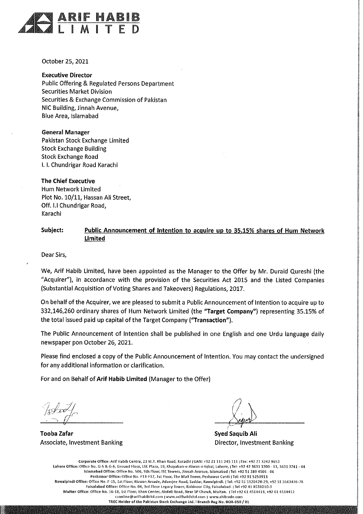

October 25, 2021

**Executive Director Public Offering & Regulated Persons Department Securities Market Division** Securities & Exchange Commission of Pakistan NIC Building, Jinnah Avenue, Blue Area, Islamabad

**General Manager** Pakistan Stock Exchange Limited **Stock Exchange Building Stock Exchange Road** I. I. Chundrigar Road Karachi

**The Chief Executive** Hum Network Limited Plot No. 10/11, Hassan Ali Street, Off. I.I Chundrigar Road, Karachi

#### Subject: Public Announcement of Intention to acquire up to 35.15% shares of Hum Network Limited

Dear Sirs,

We, Arif Habib Limited, have been appointed as the Manager to the Offer by Mr. Duraid Qureshi (the "Acquirer"), in accordance with the provision of the Securities Act 2015 and the Listed Companies (Substantial Acquisition of Voting Shares and Takeovers) Regulations, 2017.

On behalf of the Acquirer, we are pleased to submit a Public Announcement of Intention to acquire up to 332,146,260 ordinary shares of Hum Network Limited (the "Target Company") representing 35.15% of the total issued paid up capital of the Target Company ("Transaction").

The Public Announcement of Intention shall be published in one English and one Urdu language daily newspaper pon October 26, 2021.

Please find enclosed a copy of the Public Announcement of Intention. You may contact the undersigned for any additional information or clarification.

For and on Behalf of Arif Habib Limited (Manager to the Offer)

**Tooba Zafar Associate, Investment Banking** 

**Syed Saquib Ali** Director, Investment Banking

Corporate Office: Arif Habib Centre, 23 M.T. Khan Road, Karachi | UAN: +92 21 111 245 111 | Fax: +92 21 3242 9653 Lahore Office: Office No. G-5 & G-6, Ground Floor, LSE Plaza, 19, Khayaban-e-Aiwan-e-Iqbal, Lahore, JTel: +92 42 3631 3700 - 11, 3631 3741 - 44 Islamabad Office: Office No. 506, 5th Floor, iSE Towers, Jinnah Avenue, Islamabad (Tel: +92 51 289 4505 - 06 Peshawar Office: Office No. F13-F17, 1st Floor, The Mall Tower, Peshawar Cantt | Tel: +92 91 5253913 Rawalpindi Office: Office No. F-15, 1st Floor, Rizwan Arcade, Adamjee Road, Saddar, Rawalpindi. ¿Tel: +92 51 5120428-29, +92 51 5563476-78 Faisalabad Office: Office No. 04, 3rd Floor Legacy Tower, Kohinoor City, Faisalabad. | Tel +92 41 8531010-3 Multan Office: Office No. 16-18, 1st Floor, Khan Center, Abdali Road, Near SP Chowk, Multan. | Tel +92 61 4514413, +92 61 4514412 csonline@arifhabibitd.com | www.arifhabibitd.com | www.ahitrade.com TREC Holder of the Pakistan Stock Exchange Ltd. | Branch Reg No. BOA-050 / 01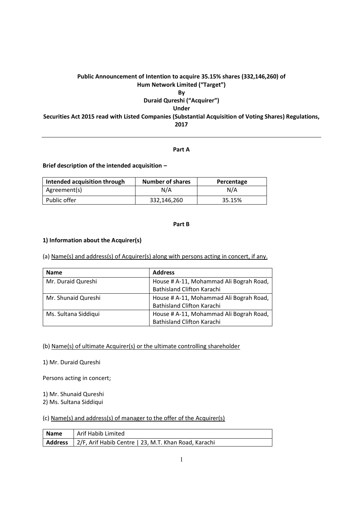## **Public Announcement of Intention to acquire 35.15% shares (332,146,260) of Hum Network Limited ("Target") By**

**Duraid Qureshi ("Acquirer") Under Securities Act 2015 read with Listed Companies (Substantial Acquisition of Voting Shares) Regulations, 2017**

#### **Part A**

**Brief description of the intended acquisition –**

| Intended acquisition through | <b>Number of shares</b> | Percentage |
|------------------------------|-------------------------|------------|
| Agreement(s)                 | N/A                     | N/A        |
| Public offer                 | 332,146,260             | 35.15%     |

#### **Part B**

#### **1) Information about the Acquirer(s)**

(a) Name(s) and address(s) of Acquirer(s) along with persons acting in concert, if any.

| <b>Name</b>          | <b>Address</b>                          |
|----------------------|-----------------------------------------|
| Mr. Duraid Qureshi   | House # A-11, Mohammad Ali Bograh Road, |
|                      | <b>Bathisland Clifton Karachi</b>       |
| Mr. Shunaid Qureshi  | House # A-11, Mohammad Ali Bograh Road, |
|                      | <b>Bathisland Clifton Karachi</b>       |
| Ms. Sultana Siddiqui | House # A-11, Mohammad Ali Bograh Road, |
|                      | <b>Bathisland Clifton Karachi</b>       |

#### (b) Name(s) of ultimate Acquirer(s) or the ultimate controlling shareholder

1) Mr. Duraid Qureshi

Persons acting in concert;

1) Mr. Shunaid Qureshi

2) Ms. Sultana Siddiqui

## (c) Name(s) and address(s) of manager to the offer of the Acquirer(s)

| Name | Arif Habib Limited                                             |
|------|----------------------------------------------------------------|
|      | Address   2/F, Arif Habib Centre   23, M.T. Khan Road, Karachi |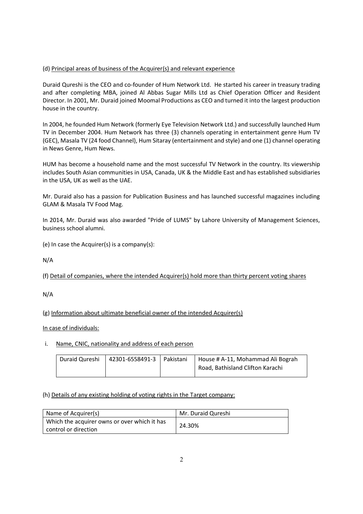## (d) Principal areas of business of the Acquirer(s) and relevant experience

Duraid Qureshi is the CEO and co-founder of Hum Network Ltd. He started his career in treasury trading and after completing MBA, joined Al Abbas Sugar Mills Ltd as Chief Operation Officer and Resident Director. In 2001, Mr. Duraid joined Moomal Productions as CEO and turned it into the largest production house in the country.

In 2004, he founded Hum Network (formerly Eye Television Network Ltd.) and successfully launched Hum TV in December 2004. Hum Network has three (3) channels operating in entertainment genre Hum TV (GEC), Masala TV (24 food Channel), Hum Sitaray (entertainment and style) and one (1) channel operating in News Genre, Hum News.

HUM has become a household name and the most successful TV Network in the country. Its viewership includes South Asian communities in USA, Canada, UK & the Middle East and has established subsidiaries in the USA, UK as well as the UAE.

Mr. Duraid also has a passion for Publication Business and has launched successful magazines including GLAM & Masala TV Food Mag.

In 2014, Mr. Duraid was also awarded "Pride of LUMS" by Lahore University of Management Sciences, business school alumni.

(e) In case the Acquirer(s) is a company(s):

N/A

(f) Detail of companies, where the intended Acquirer(s) hold more than thirty percent voting shares

N/A

(g) Information about ultimate beneficial owner of the intended Acquirer(s)

In case of individuals:

## i. Name, CNIC, nationality and address of each person

| Duraid Qureshi | 42301-6558491-3   Pakistani | House # A-11, Mohammad Ali Bograh |
|----------------|-----------------------------|-----------------------------------|
|                |                             | Road, Bathisland Clifton Karachi  |

## (h) Details of any existing holding of voting rights in the Target company:

| Name of Acquirer(s)                                                    | Mr. Duraid Qureshi |
|------------------------------------------------------------------------|--------------------|
| Which the acquirer owns or over which it has<br>l control or direction | 24.30%             |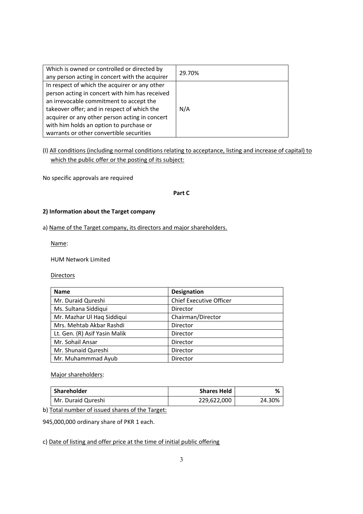| Which is owned or controlled or directed by<br>any person acting in concert with the acquirer                                                                                                                                                                                                                                      | 29.70% |
|------------------------------------------------------------------------------------------------------------------------------------------------------------------------------------------------------------------------------------------------------------------------------------------------------------------------------------|--------|
| In respect of which the acquirer or any other<br>person acting in concert with him has received<br>an irrevocable commitment to accept the<br>takeover offer; and in respect of which the<br>acquirer or any other person acting in concert<br>with him holds an option to purchase or<br>warrants or other convertible securities | N/A    |

# (I) All conditions (including normal conditions relating to acceptance, listing and increase of capital) to which the public offer or the posting of its subject:

No specific approvals are required

## **Part C**

## **2) Information about the Target company**

#### a) Name of the Target company, its directors and major shareholders.

Name:

HUM Network Limited

**Directors** 

| <b>Name</b>                   | <b>Designation</b>             |
|-------------------------------|--------------------------------|
| Mr. Duraid Qureshi            | <b>Chief Executive Officer</b> |
| Ms. Sultana Siddiqui          | Director                       |
| Mr. Mazhar Ul Haq Siddiqui    | Chairman/Director              |
| Mrs. Mehtab Akbar Rashdi      | Director                       |
| Lt. Gen. (R) Asif Yasin Malik | Director                       |
| Mr. Sohail Ansar              | Director                       |
| Mr. Shunaid Qureshi           | Director                       |
| Mr. Muhammmad Ayub            | Director                       |

Major shareholders:

| Shareholder        | <b>Shares Held</b> |        |
|--------------------|--------------------|--------|
| Mr. Duraid Qureshi | 229,622,000        | 24.30% |

b) Total number of issued shares of the Target:

945,000,000 ordinary share of PKR 1 each.

c) Date of listing and offer price at the time of initial public offering